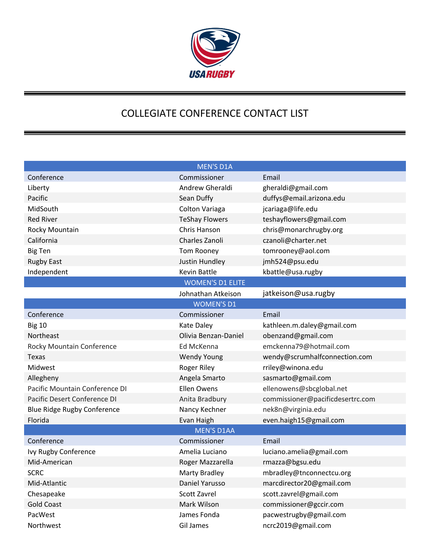

## COLLEGIATE CONFERENCE CONTACT LIST

|                                    | <b>MEN'S D1A</b>      |                                  |  |  |
|------------------------------------|-----------------------|----------------------------------|--|--|
| Conference                         | Commissioner          | Email                            |  |  |
| Liberty                            | Andrew Gheraldi       | gheraldi@gmail.com               |  |  |
| Pacific                            | Sean Duffy            | duffys@email.arizona.edu         |  |  |
| MidSouth                           | <b>Colton Variaga</b> | jcariaga@life.edu                |  |  |
| <b>Red River</b>                   | <b>TeShay Flowers</b> | teshayflowers@gmail.com          |  |  |
| Rocky Mountain                     | Chris Hanson          | chris@monarchrugby.org           |  |  |
| California                         | Charles Zanoli        | czanoli@charter.net              |  |  |
| <b>Big Ten</b>                     | Tom Rooney            | tomrooney@aol.com                |  |  |
| <b>Rugby East</b>                  | Justin Hundley        | jmh524@psu.edu                   |  |  |
| Independent                        | <b>Kevin Battle</b>   | kbattle@usa.rugby                |  |  |
| <b>WOMEN'S D1 ELITE</b>            |                       |                                  |  |  |
|                                    | Johnathan Atkeison    | jatkeison@usa.rugby              |  |  |
| <b>WOMEN'S D1</b>                  |                       |                                  |  |  |
| Conference                         | Commissioner          | Email                            |  |  |
| <b>Big 10</b>                      | <b>Kate Daley</b>     | kathleen.m.daley@gmail.com       |  |  |
| Northeast                          | Olivia Benzan-Daniel  | obenzand@gmail.com               |  |  |
| Rocky Mountain Conference          | Ed McKenna            | emckenna79@hotmail.com           |  |  |
| Texas                              | <b>Wendy Young</b>    | wendy@scrumhalfconnection.com    |  |  |
| Midwest                            | Roger Riley           | rriley@winona.edu                |  |  |
| Allegheny                          | Angela Smarto         | sasmarto@gmail.com               |  |  |
| Pacific Mountain Conference DI     | Ellen Owens           | ellenowens@sbcglobal.net         |  |  |
| Pacific Desert Conference DI       | Anita Bradbury        | commissioner@pacificdesertrc.com |  |  |
| <b>Blue Ridge Rugby Conference</b> | Nancy Kechner         | nek8n@virginia.edu               |  |  |
| Florida                            | Evan Haigh            | even.haigh15@gmail.com           |  |  |
| <b>MEN'S D1AA</b>                  |                       |                                  |  |  |
| Conference                         | Commissioner          | Email                            |  |  |
| Ivy Rugby Conference               | Amelia Luciano        | luciano.amelia@gmail.com         |  |  |
| Mid-American                       | Roger Mazzarella      | rmazza@bgsu.edu                  |  |  |
| <b>SCRC</b>                        | Marty Bradley         | mbradley@tnconnectcu.org         |  |  |
| Mid-Atlantic                       | Daniel Yarusso        | marcdirector20@gmail.com         |  |  |
| Chesapeake                         | Scott Zavrel          | scott.zavrel@gmail.com           |  |  |
| <b>Gold Coast</b>                  | Mark Wilson           | commissioner@gccir.com           |  |  |
| PacWest                            | James Fonda           | pacwestrugby@gmail.com           |  |  |
| Northwest                          | Gil James             | ncrc2019@gmail.com               |  |  |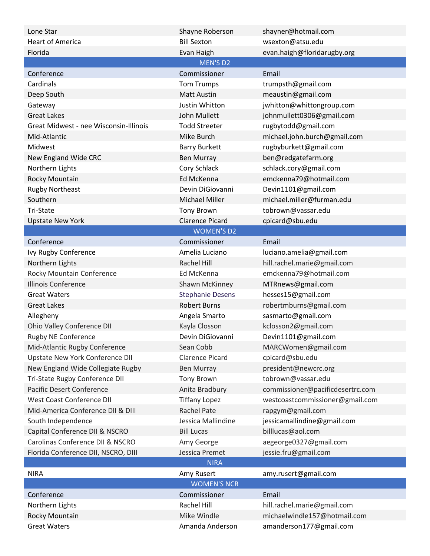| Lone Star                              | Shayne Roberson         | shayner@hotmail.com              |  |  |
|----------------------------------------|-------------------------|----------------------------------|--|--|
| <b>Heart of America</b>                | <b>Bill Sexton</b>      | wsexton@atsu.edu                 |  |  |
| Florida                                | Evan Haigh              | evan.haigh@floridarugby.org      |  |  |
|                                        | <b>MEN'S D2</b>         |                                  |  |  |
| Conference                             | Commissioner            | Email                            |  |  |
| Cardinals                              | <b>Tom Trumps</b>       | trumpsth@gmail.com               |  |  |
| Deep South                             | <b>Matt Austin</b>      | meaustin@gmail.com               |  |  |
| Gateway                                | <b>Justin Whitton</b>   | jwhitton@whittongroup.com        |  |  |
| <b>Great Lakes</b>                     | <b>John Mullett</b>     | johnmullett0306@gmail.com        |  |  |
| Great Midwest - nee Wisconsin-Illinois | <b>Todd Streeter</b>    | rugbytodd@gmail.com              |  |  |
| Mid-Atlantic                           | Mike Burch              | michael.john.burch@gmail.com     |  |  |
| Midwest                                | <b>Barry Burkett</b>    | rugbyburkett@gmail.com           |  |  |
| New England Wide CRC                   | <b>Ben Murray</b>       | ben@redgatefarm.org              |  |  |
| Northern Lights                        | Cory Schlack            | schlack.cory@gmail.com           |  |  |
| Rocky Mountain                         | Ed McKenna              | emckenna79@hotmail.com           |  |  |
| <b>Rugby Northeast</b>                 | Devin DiGiovanni        | Devin1101@gmail.com              |  |  |
| Southern                               | <b>Michael Miller</b>   | michael.miller@furman.edu        |  |  |
| Tri-State                              | <b>Tony Brown</b>       | tobrown@vassar.edu               |  |  |
| <b>Upstate New York</b>                | <b>Clarence Picard</b>  | cpicard@sbu.edu                  |  |  |
|                                        | <b>WOMEN'S D2</b>       |                                  |  |  |
| Conference                             | Commissioner            | Email                            |  |  |
| Ivy Rugby Conference                   | Amelia Luciano          | luciano.amelia@gmail.com         |  |  |
| Northern Lights                        | Rachel Hill             | hill.rachel.marie@gmail.com      |  |  |
| Rocky Mountain Conference              | Ed McKenna              | emckenna79@hotmail.com           |  |  |
| <b>Illinois Conference</b>             | Shawn McKinney          | MTRnews@gmail.com                |  |  |
| <b>Great Waters</b>                    | <b>Stephanie Desens</b> | hesses15@gmail.com               |  |  |
| <b>Great Lakes</b>                     | <b>Robert Burns</b>     | robertmburns@gmail.com           |  |  |
| Allegheny                              | Angela Smarto           | sasmarto@gmail.com               |  |  |
| Ohio Valley Conference DII             | Kayla Closson           | kclosson2@gmail.com              |  |  |
| <b>Rugby NE Conference</b>             | Devin DiGiovanni        | Devin1101@gmail.com              |  |  |
| Mid-Atlantic Rugby Conference          | Sean Cobb               | MARCWomen@gmail.com              |  |  |
| Upstate New York Conference DII        | <b>Clarence Picard</b>  | cpicard@sbu.edu                  |  |  |
| New England Wide Collegiate Rugby      | <b>Ben Murray</b>       | president@newcrc.org             |  |  |
| Tri-State Rugby Conference DII         | <b>Tony Brown</b>       | tobrown@vassar.edu               |  |  |
| Pacific Desert Conference              | Anita Bradbury          | commissioner@pacificdesertrc.com |  |  |
| <b>West Coast Conference DII</b>       | <b>Tiffany Lopez</b>    | westcoastcommissioner@gmail.com  |  |  |
| Mid-America Conference DII & DIII      | <b>Rachel Pate</b>      | rapgym@gmail.com                 |  |  |
| South Independence                     | Jessica Mallindine      | jessicamallindine@gmail.com      |  |  |
| Capital Conference DII & NSCRO         | <b>Bill Lucas</b>       | billlucas@aol.com                |  |  |
| Carolinas Conference DII & NSCRO       | Amy George              | aegeorge0327@gmail.com           |  |  |
| Florida Conference DII, NSCRO, DIII    | Jessica Premet          | jessie.fru@gmail.com             |  |  |
| <b>NIRA</b>                            |                         |                                  |  |  |
| <b>NIRA</b>                            | Amy Rusert              | amy.rusert@gmail.com             |  |  |
|                                        | <b>WOMEN'S NCR</b>      |                                  |  |  |
| Conference                             | Commissioner            | Email                            |  |  |
| Northern Lights                        | Rachel Hill             | hill.rachel.marie@gmail.com      |  |  |
| Rocky Mountain                         | Mike Windle             | michaelwindle157@hotmail.com     |  |  |
| <b>Great Waters</b>                    | Amanda Anderson         | amanderson177@gmail.com          |  |  |